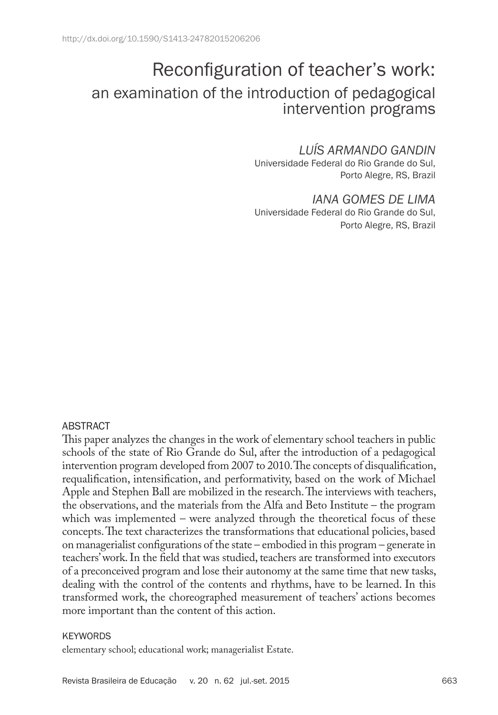# Reconfiguration of teacher's work: an examination of the introduction of pedagogical intervention programs

## *LUÍS ARMANDO GANDIN*

Universidade Federal do Rio Grande do Sul, Porto Alegre, RS, Brazil

*IANA GOMES DE LIMA* Universidade Federal do Rio Grande do Sul, Porto Alegre, RS, Brazil

#### ABSTRACT

This paper analyzes the changes in the work of elementary school teachers in public schools of the state of Rio Grande do Sul, after the introduction of a pedagogical intervention program developed from 2007 to 2010. The concepts of disqualification, requalification, intensification, and performativity, based on the work of Michael Apple and Stephen Ball are mobilized in the research. The interviews with teachers, the observations, and the materials from the Alfa and Beto Institute – the program which was implemented – were analyzed through the theoretical focus of these concepts. The text characterizes the transformations that educational policies, based on managerialist configurations of the state – embodied in this program – generate in teachers' work. In the field that was studied, teachers are transformed into executors of a preconceived program and lose their autonomy at the same time that new tasks, dealing with the control of the contents and rhythms, have to be learned. In this transformed work, the choreographed measurement of teachers' actions becomes more important than the content of this action.

#### **KEYWORDS**

elementary school; educational work; managerialist Estate.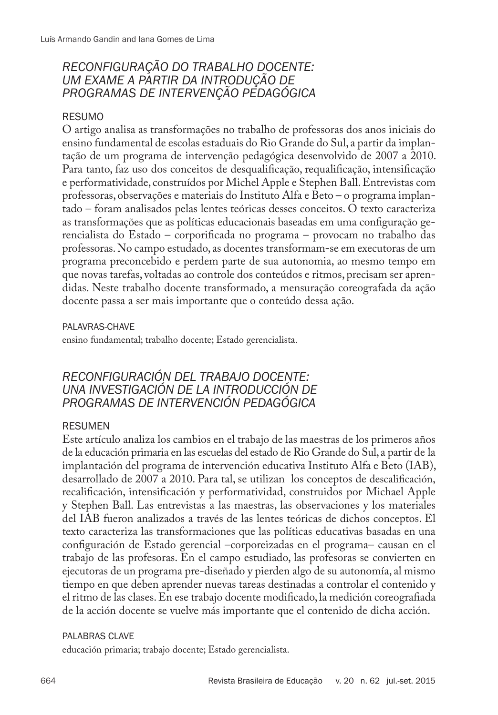# *RECONFIGURAÇÃO DO TRABALHO DOCENTE: UM EXAME A PARTIR DA INTRODUÇÃO DE PROGRAMAS DE INTERVENÇÃO PEDAGÓGICA*

## RESUMO

O artigo analisa as transformações no trabalho de professoras dos anos iniciais do ensino fundamental de escolas estaduais do Rio Grande do Sul, a partir da implantação de um programa de intervenção pedagógica desenvolvido de 2007 a 2010. Para tanto, faz uso dos conceitos de desqualificação, requalificação, intensificação e performatividade, construídos por Michel Apple e Stephen Ball. Entrevistas com professoras, observações e materiais do Instituto Alfa e Beto – o programa implantado – foram analisados pelas lentes teóricas desses conceitos. O texto caracteriza as transformações que as políticas educacionais baseadas em uma configuração gerencialista do Estado – corporificada no programa – provocam no trabalho das professoras. No campo estudado, as docentes transformam-se em executoras de um programa preconcebido e perdem parte de sua autonomia, ao mesmo tempo em que novas tarefas, voltadas ao controle dos conteúdos e ritmos, precisam ser aprendidas. Neste trabalho docente transformado, a mensuração coreografada da ação docente passa a ser mais importante que o conteúdo dessa ação.

#### PAI AVRAS-CHAVF

ensino fundamental; trabalho docente; Estado gerencialista.

# *RECONFIGURACIÓN DEL TRABAJO DOCENTE: UNA INVESTIGACIÓN DE LA INTRODUCCIÓN DE PROGRAMAS DE INTERVENCIÓN PEDAGÓGICA*

#### RESUMEN

Este artículo analiza los cambios en el trabajo de las maestras de los primeros años de la educación primaria en las escuelas del estado de Rio Grande do Sul, a partir de la implantación del programa de intervención educativa Instituto Alfa e Beto (IAB), desarrollado de 2007 a 2010. Para tal, se utilizan los conceptos de descalificación, recalificación, intensificación y performatividad, construidos por Michael Apple y Stephen Ball. Las entrevistas a las maestras, las observaciones y los materiales del IAB fueron analizados a través de las lentes teóricas de dichos conceptos. El texto caracteriza las transformaciones que las políticas educativas basadas en una configuración de Estado gerencial –corporeizadas en el programa– causan en el trabajo de las profesoras. En el campo estudiado, las profesoras se convierten en ejecutoras de un programa pre-diseñado y pierden algo de su autonomía, al mismo tiempo en que deben aprender nuevas tareas destinadas a controlar el contenido y el ritmo de las clases. En ese trabajo docente modificado, la medición coreografiada de la acción docente se vuelve más importante que el contenido de dicha acción.

#### PALABRAS CLAVE

educación primaria; trabajo docente; Estado gerencialista.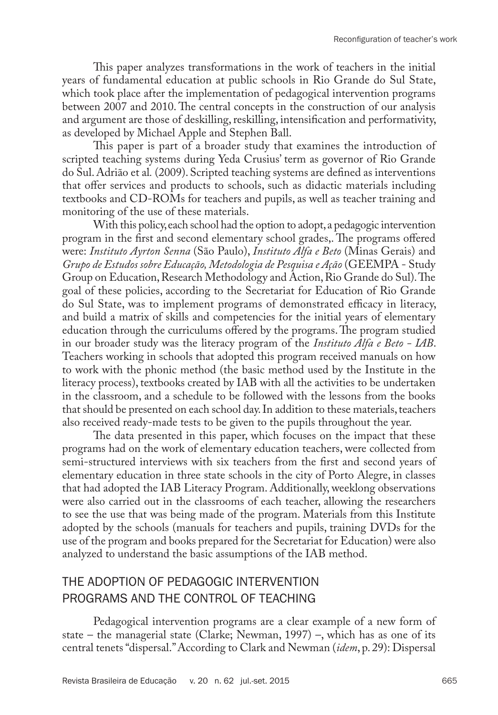This paper analyzes transformations in the work of teachers in the initial years of fundamental education at public schools in Rio Grande do Sul State, which took place after the implementation of pedagogical intervention programs between 2007 and 2010. The central concepts in the construction of our analysis and argument are those of deskilling, reskilling, intensification and performativity, as developed by Michael Apple and Stephen Ball.

This paper is part of a broader study that examines the introduction of scripted teaching systems during Yeda Crusius' term as governor of Rio Grande do Sul. Adrião et al*.* (2009). Scripted teaching systems are defined as interventions that offer services and products to schools, such as didactic materials including textbooks and CD-ROMs for teachers and pupils, as well as teacher training and monitoring of the use of these materials.

With this policy, each school had the option to adopt, a pedagogic intervention program in the first and second elementary school grades,. The programs offered were: *Instituto Ayrton Senna* (São Paulo), *Instituto Alfa e Beto* (Minas Gerais) and *Grupo de Estudos sobre Educação, Metodologia de Pesquisa e Ação* (GEEMPA - Study Group on Education, Research Methodology and Action, Rio Grande do Sul). The goal of these policies, according to the Secretariat for Education of Rio Grande do Sul State, was to implement programs of demonstrated efficacy in literacy, and build a matrix of skills and competencies for the initial years of elementary education through the curriculums offered by the programs. The program studied in our broader study was the literacy program of the *Instituto Alfa e Beto - IAB*. Teachers working in schools that adopted this program received manuals on how to work with the phonic method (the basic method used by the Institute in the literacy process), textbooks created by IAB with all the activities to be undertaken in the classroom, and a schedule to be followed with the lessons from the books that should be presented on each school day. In addition to these materials, teachers also received ready-made tests to be given to the pupils throughout the year.

The data presented in this paper, which focuses on the impact that these programs had on the work of elementary education teachers, were collected from semi-structured interviews with six teachers from the first and second years of elementary education in three state schools in the city of Porto Alegre, in classes that had adopted the IAB Literacy Program. Additionally, weeklong observations were also carried out in the classrooms of each teacher, allowing the researchers to see the use that was being made of the program. Materials from this Institute adopted by the schools (manuals for teachers and pupils, training DVDs for the use of the program and books prepared for the Secretariat for Education) were also analyzed to understand the basic assumptions of the IAB method.

# THE ADOPTION OF PEDAGOGIC INTERVENTION PROGRAMS AND THE CONTROL OF TEACHING

Pedagogical intervention programs are a clear example of a new form of state – the managerial state (Clarke; Newman, 1997) –, which has as one of its central tenets "dispersal." According to Clark and Newman (*idem*, p. 29): Dispersal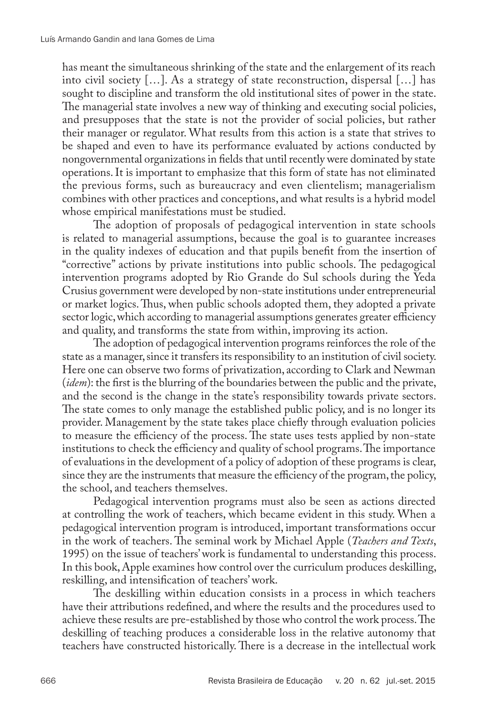has meant the simultaneous shrinking of the state and the enlargement of its reach into civil society […]. As a strategy of state reconstruction, dispersal […] has sought to discipline and transform the old institutional sites of power in the state. The managerial state involves a new way of thinking and executing social policies, and presupposes that the state is not the provider of social policies, but rather their manager or regulator. What results from this action is a state that strives to be shaped and even to have its performance evaluated by actions conducted by nongovernmental organizations in fields that until recently were dominated by state operations. It is important to emphasize that this form of state has not eliminated the previous forms, such as bureaucracy and even clientelism; managerialism combines with other practices and conceptions, and what results is a hybrid model whose empirical manifestations must be studied.

The adoption of proposals of pedagogical intervention in state schools is related to managerial assumptions, because the goal is to guarantee increases in the quality indexes of education and that pupils benefit from the insertion of "corrective" actions by private institutions into public schools. The pedagogical intervention programs adopted by Rio Grande do Sul schools during the Yeda Crusius government were developed by non-state institutions under entrepreneurial or market logics. Thus, when public schools adopted them, they adopted a private sector logic, which according to managerial assumptions generates greater efficiency and quality, and transforms the state from within, improving its action.

The adoption of pedagogical intervention programs reinforces the role of the state as a manager, since it transfers its responsibility to an institution of civil society. Here one can observe two forms of privatization, according to Clark and Newman (*idem*): the first is the blurring of the boundaries between the public and the private, and the second is the change in the state's responsibility towards private sectors. The state comes to only manage the established public policy, and is no longer its provider. Management by the state takes place chiefly through evaluation policies to measure the efficiency of the process. The state uses tests applied by non-state institutions to check the efficiency and quality of school programs. The importance of evaluations in the development of a policy of adoption of these programs is clear, since they are the instruments that measure the efficiency of the program, the policy, the school, and teachers themselves.

Pedagogical intervention programs must also be seen as actions directed at controlling the work of teachers, which became evident in this study. When a pedagogical intervention program is introduced, important transformations occur in the work of teachers. The seminal work by Michael Apple (*Teachers and Texts*, 1995) on the issue of teachers' work is fundamental to understanding this process. In this book, Apple examines how control over the curriculum produces deskilling, reskilling, and intensification of teachers' work.

The deskilling within education consists in a process in which teachers have their attributions redefined, and where the results and the procedures used to achieve these results are pre-established by those who control the work process. The deskilling of teaching produces a considerable loss in the relative autonomy that teachers have constructed historically. There is a decrease in the intellectual work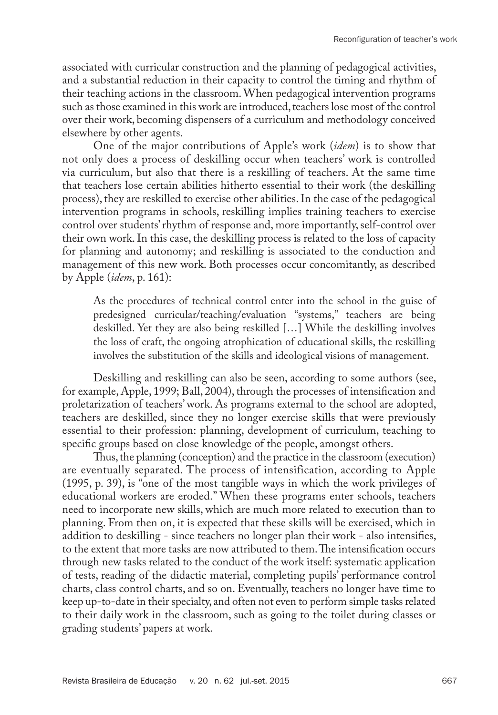associated with curricular construction and the planning of pedagogical activities, and a substantial reduction in their capacity to control the timing and rhythm of their teaching actions in the classroom. When pedagogical intervention programs such as those examined in this work are introduced, teachers lose most of the control over their work, becoming dispensers of a curriculum and methodology conceived elsewhere by other agents.

One of the major contributions of Apple's work (*idem*) is to show that not only does a process of deskilling occur when teachers' work is controlled via curriculum, but also that there is a reskilling of teachers. At the same time that teachers lose certain abilities hitherto essential to their work (the deskilling process), they are reskilled to exercise other abilities. In the case of the pedagogical intervention programs in schools, reskilling implies training teachers to exercise control over students' rhythm of response and, more importantly, self-control over their own work. In this case, the deskilling process is related to the loss of capacity for planning and autonomy; and reskilling is associated to the conduction and management of this new work. Both processes occur concomitantly, as described by Apple (*idem*, p. 161):

As the procedures of technical control enter into the school in the guise of predesigned curricular/teaching/evaluation "systems," teachers are being deskilled. Yet they are also being reskilled […] While the deskilling involves the loss of craft, the ongoing atrophication of educational skills, the reskilling involves the substitution of the skills and ideological visions of management.

Deskilling and reskilling can also be seen, according to some authors (see, for example, Apple, 1999; Ball, 2004), through the processes of intensification and proletarization of teachers' work. As programs external to the school are adopted, teachers are deskilled, since they no longer exercise skills that were previously essential to their profession: planning, development of curriculum, teaching to specific groups based on close knowledge of the people, amongst others.

Thus, the planning (conception) and the practice in the classroom (execution) are eventually separated. The process of intensification, according to Apple (1995, p. 39), is "one of the most tangible ways in which the work privileges of educational workers are eroded." When these programs enter schools, teachers need to incorporate new skills, which are much more related to execution than to planning. From then on, it is expected that these skills will be exercised, which in addition to deskilling - since teachers no longer plan their work - also intensifies, to the extent that more tasks are now attributed to them. The intensification occurs through new tasks related to the conduct of the work itself: systematic application of tests, reading of the didactic material, completing pupils' performance control charts, class control charts, and so on. Eventually, teachers no longer have time to keep up-to-date in their specialty, and often not even to perform simple tasks related to their daily work in the classroom, such as going to the toilet during classes or grading students' papers at work.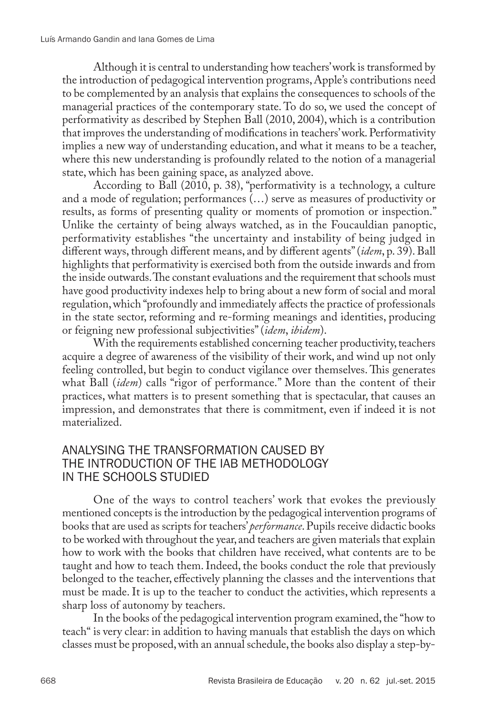Although it is central to understanding how teachers' work is transformed by the introduction of pedagogical intervention programs, Apple's contributions need to be complemented by an analysis that explains the consequences to schools of the managerial practices of the contemporary state. To do so, we used the concept of performativity as described by Stephen Ball (2010, 2004), which is a contribution that improves the understanding of modifications in teachers' work. Performativity implies a new way of understanding education, and what it means to be a teacher, where this new understanding is profoundly related to the notion of a managerial state, which has been gaining space, as analyzed above.

According to Ball (2010, p. 38), "performativity is a technology, a culture and a mode of regulation; performances (…) serve as measures of productivity or results, as forms of presenting quality or moments of promotion or inspection." Unlike the certainty of being always watched, as in the Foucauldian panoptic, performativity establishes "the uncertainty and instability of being judged in different ways, through different means, and by different agents" (*idem*, p. 39). Ball highlights that performativity is exercised both from the outside inwards and from the inside outwards. The constant evaluations and the requirement that schools must have good productivity indexes help to bring about a new form of social and moral regulation, which "profoundly and immediately affects the practice of professionals in the state sector, reforming and re-forming meanings and identities, producing or feigning new professional subjectivities" (*idem*, *ibidem*).

With the requirements established concerning teacher productivity, teachers acquire a degree of awareness of the visibility of their work, and wind up not only feeling controlled, but begin to conduct vigilance over themselves. This generates what Ball (*idem*) calls "rigor of performance." More than the content of their practices, what matters is to present something that is spectacular, that causes an impression, and demonstrates that there is commitment, even if indeed it is not materialized.

# ANALYSING THE TRANSFORMATION CAUSED BY THE INTRODUCTION OF THE IAB METHODOLOGY IN THE SCHOOLS STUDIED

One of the ways to control teachers' work that evokes the previously mentioned concepts is the introduction by the pedagogical intervention programs of books that are used as scripts for teachers' *performance*. Pupils receive didactic books to be worked with throughout the year, and teachers are given materials that explain how to work with the books that children have received, what contents are to be taught and how to teach them. Indeed, the books conduct the role that previously belonged to the teacher, effectively planning the classes and the interventions that must be made. It is up to the teacher to conduct the activities, which represents a sharp loss of autonomy by teachers.

In the books of the pedagogical intervention program examined, the "how to teach" is very clear: in addition to having manuals that establish the days on which classes must be proposed, with an annual schedule, the books also display a step-by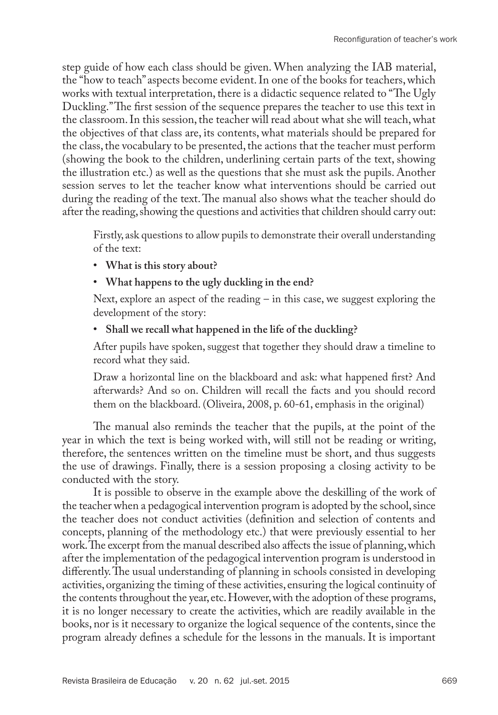step guide of how each class should be given. When analyzing the IAB material, the "how to teach" aspects become evident. In one of the books for teachers, which works with textual interpretation, there is a didactic sequence related to "The Ugly Duckling." The first session of the sequence prepares the teacher to use this text in the classroom. In this session, the teacher will read about what she will teach, what the objectives of that class are, its contents, what materials should be prepared for the class, the vocabulary to be presented, the actions that the teacher must perform (showing the book to the children, underlining certain parts of the text, showing the illustration etc.) as well as the questions that she must ask the pupils. Another session serves to let the teacher know what interventions should be carried out during the reading of the text. The manual also shows what the teacher should do after the reading, showing the questions and activities that children should carry out:

Firstly, ask questions to allow pupils to demonstrate their overall understanding of the text:

- **• What is this story about?**
- **• What happens to the ugly duckling in the end?**

Next, explore an aspect of the reading – in this case, we suggest exploring the development of the story:

**• Shall we recall what happened in the life of the duckling?**

After pupils have spoken, suggest that together they should draw a timeline to record what they said.

Draw a horizontal line on the blackboard and ask: what happened first? And afterwards? And so on. Children will recall the facts and you should record them on the blackboard. (Oliveira, 2008, p. 60-61, emphasis in the original)

The manual also reminds the teacher that the pupils, at the point of the year in which the text is being worked with, will still not be reading or writing, therefore, the sentences written on the timeline must be short, and thus suggests the use of drawings. Finally, there is a session proposing a closing activity to be conducted with the story.

It is possible to observe in the example above the deskilling of the work of the teacher when a pedagogical intervention program is adopted by the school, since the teacher does not conduct activities (definition and selection of contents and concepts, planning of the methodology etc.) that were previously essential to her work. The excerpt from the manual described also affects the issue of planning, which after the implementation of the pedagogical intervention program is understood in differently. The usual understanding of planning in schools consisted in developing activities, organizing the timing of these activities, ensuring the logical continuity of the contents throughout the year, etc. However, with the adoption of these programs, it is no longer necessary to create the activities, which are readily available in the books, nor is it necessary to organize the logical sequence of the contents, since the program already defines a schedule for the lessons in the manuals. It is important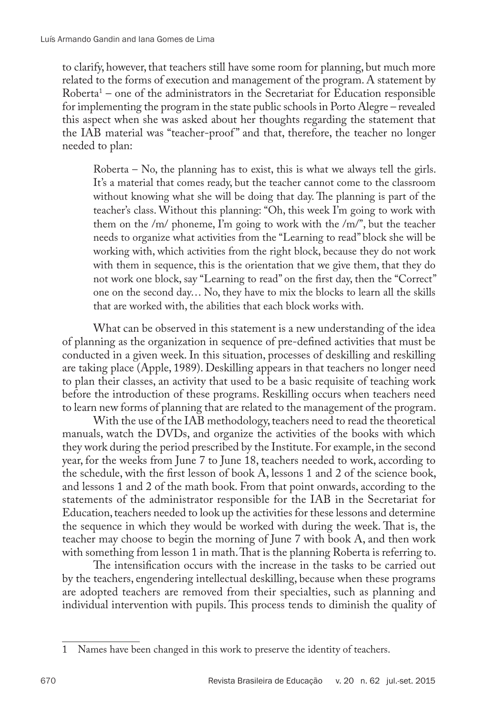to clarify, however, that teachers still have some room for planning, but much more related to the forms of execution and management of the program. A statement by Roberta1 – one of the administrators in the Secretariat for Education responsible for implementing the program in the state public schools in Porto Alegre – revealed this aspect when she was asked about her thoughts regarding the statement that the IAB material was "teacher-proof " and that, therefore, the teacher no longer needed to plan:

Roberta – No, the planning has to exist, this is what we always tell the girls. It's a material that comes ready, but the teacher cannot come to the classroom without knowing what she will be doing that day. The planning is part of the teacher's class. Without this planning: "Oh, this week I'm going to work with them on the /m/ phoneme, I'm going to work with the /m/", but the teacher needs to organize what activities from the "Learning to read" block she will be working with, which activities from the right block, because they do not work with them in sequence, this is the orientation that we give them, that they do not work one block, say "Learning to read" on the first day, then the "Correct" one on the second day… No, they have to mix the blocks to learn all the skills that are worked with, the abilities that each block works with.

What can be observed in this statement is a new understanding of the idea of planning as the organization in sequence of pre-defined activities that must be conducted in a given week. In this situation, processes of deskilling and reskilling are taking place (Apple, 1989). Deskilling appears in that teachers no longer need to plan their classes, an activity that used to be a basic requisite of teaching work before the introduction of these programs. Reskilling occurs when teachers need to learn new forms of planning that are related to the management of the program.

With the use of the IAB methodology, teachers need to read the theoretical manuals, watch the DVDs, and organize the activities of the books with which they work during the period prescribed by the Institute. For example, in the second year, for the weeks from June 7 to June 18, teachers needed to work, according to the schedule, with the first lesson of book A, lessons 1 and 2 of the science book, and lessons 1 and 2 of the math book. From that point onwards, according to the statements of the administrator responsible for the IAB in the Secretariat for Education, teachers needed to look up the activities for these lessons and determine the sequence in which they would be worked with during the week. That is, the teacher may choose to begin the morning of June 7 with book A, and then work with something from lesson 1 in math. That is the planning Roberta is referring to.

The intensification occurs with the increase in the tasks to be carried out by the teachers, engendering intellectual deskilling, because when these programs are adopted teachers are removed from their specialties, such as planning and individual intervention with pupils. This process tends to diminish the quality of

<sup>1</sup> Names have been changed in this work to preserve the identity of teachers.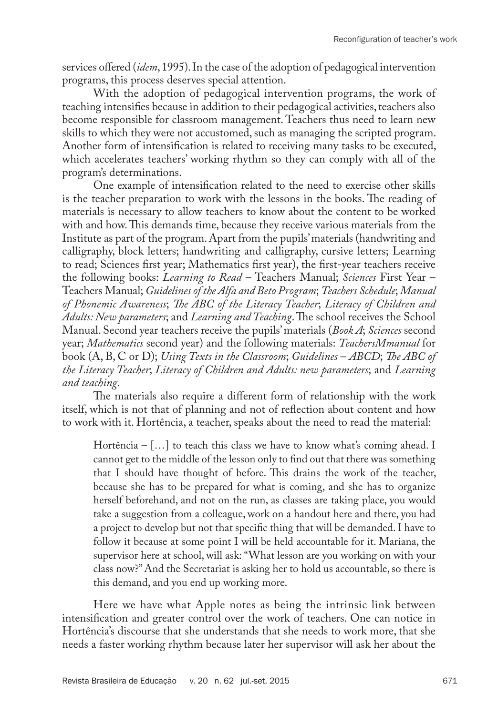services offered (*idem*, 1995). In the case of the adoption of pedagogical intervention programs, this process deserves special attention.

With the adoption of pedagogical intervention programs, the work of teaching intensifies because in addition to their pedagogical activities, teachers also become responsible for classroom management. Teachers thus need to learn new skills to which they were not accustomed, such as managing the scripted program. Another form of intensification is related to receiving many tasks to be executed, which accelerates teachers' working rhythm so they can comply with all of the program's determinations.

One example of intensification related to the need to exercise other skills is the teacher preparation to work with the lessons in the books. The reading of materials is necessary to allow teachers to know about the content to be worked with and how. This demands time, because they receive various materials from the Institute as part of the program. Apart from the pupils' materials (handwriting and calligraphy, block letters; handwriting and calligraphy, cursive letters; Learning to read; Sciences first year; Mathematics first year), the first-year teachers receive the following books: *Learning to Read* – Teachers Manual; *Sciences* First Year – Teachers Manual; *Guidelines of the Alfa and Beto Program*; *Teachers Schedule*; *Manual of Phonemic Awareness*; *The ABC of the Literacy Teacher*; *Literacy of Children and Adults: New parameters*; and *Learning and Teaching*. The school receives the School Manual. Second year teachers receive the pupils' materials (*Book A*; *Sciences* second year; *Mathematics* second year) and the following materials: *TeachersMmanual* for book (A, B, C or D); *Using Texts in the Classroom*; *Guidelines* – *ABCD*; *The ABC of the Literacy Teacher*; *Literacy of Children and Adults: new parameters*; and *Learning and teaching*.

The materials also require a different form of relationship with the work itself, which is not that of planning and not of reflection about content and how to work with it. Hortência, a teacher, speaks about the need to read the material:

Hortência –  $[\dots]$  to teach this class we have to know what's coming ahead. I cannot get to the middle of the lesson only to find out that there was something that I should have thought of before. This drains the work of the teacher, because she has to be prepared for what is coming, and she has to organize herself beforehand, and not on the run, as classes are taking place, you would take a suggestion from a colleague, work on a handout here and there, you had a project to develop but not that specific thing that will be demanded. I have to follow it because at some point I will be held accountable for it. Mariana, the supervisor here at school, will ask: "What lesson are you working on with your class now?" And the Secretariat is asking her to hold us accountable, so there is this demand, and you end up working more.

Here we have what Apple notes as being the intrinsic link between intensification and greater control over the work of teachers. One can notice in Hortência's discourse that she understands that she needs to work more, that she needs a faster working rhythm because later her supervisor will ask her about the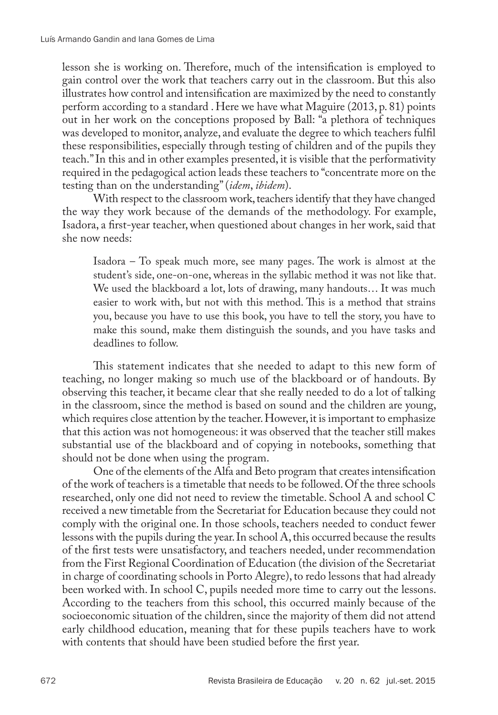lesson she is working on. Therefore, much of the intensification is employed to gain control over the work that teachers carry out in the classroom. But this also illustrates how control and intensification are maximized by the need to constantly perform according to a standard . Here we have what Maguire (2013, p. 81) points out in her work on the conceptions proposed by Ball: "a plethora of techniques was developed to monitor, analyze, and evaluate the degree to which teachers fulfil these responsibilities, especially through testing of children and of the pupils they teach." In this and in other examples presented, it is visible that the performativity required in the pedagogical action leads these teachers to "concentrate more on the testing than on the understanding" (*idem*, *ibidem*).

With respect to the classroom work, teachers identify that they have changed the way they work because of the demands of the methodology. For example, Isadora, a first-year teacher, when questioned about changes in her work, said that she now needs:

Isadora – To speak much more, see many pages. The work is almost at the student's side, one-on-one, whereas in the syllabic method it was not like that. We used the blackboard a lot, lots of drawing, many handouts… It was much easier to work with, but not with this method. This is a method that strains you, because you have to use this book, you have to tell the story, you have to make this sound, make them distinguish the sounds, and you have tasks and deadlines to follow.

This statement indicates that she needed to adapt to this new form of teaching, no longer making so much use of the blackboard or of handouts. By observing this teacher, it became clear that she really needed to do a lot of talking in the classroom, since the method is based on sound and the children are young, which requires close attention by the teacher. However, it is important to emphasize that this action was not homogeneous: it was observed that the teacher still makes substantial use of the blackboard and of copying in notebooks, something that should not be done when using the program.

One of the elements of the Alfa and Beto program that creates intensification of the work of teachers is a timetable that needs to be followed. Of the three schools researched, only one did not need to review the timetable. School A and school C received a new timetable from the Secretariat for Education because they could not comply with the original one. In those schools, teachers needed to conduct fewer lessons with the pupils during the year. In school A, this occurred because the results of the first tests were unsatisfactory, and teachers needed, under recommendation from the First Regional Coordination of Education (the division of the Secretariat in charge of coordinating schools in Porto Alegre), to redo lessons that had already been worked with. In school C, pupils needed more time to carry out the lessons. According to the teachers from this school, this occurred mainly because of the socioeconomic situation of the children, since the majority of them did not attend early childhood education, meaning that for these pupils teachers have to work with contents that should have been studied before the first year.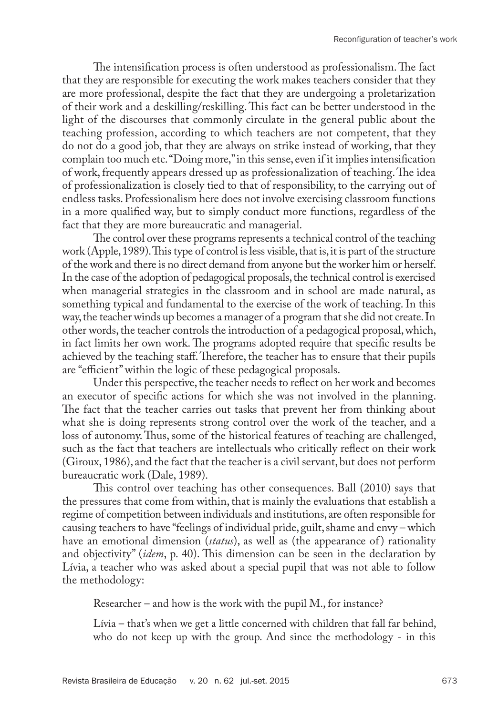The intensification process is often understood as professionalism. The fact that they are responsible for executing the work makes teachers consider that they are more professional, despite the fact that they are undergoing a proletarization of their work and a deskilling/reskilling. This fact can be better understood in the light of the discourses that commonly circulate in the general public about the teaching profession, according to which teachers are not competent, that they do not do a good job, that they are always on strike instead of working, that they complain too much etc. "Doing more," in this sense, even if it implies intensification of work, frequently appears dressed up as professionalization of teaching. The idea of professionalization is closely tied to that of responsibility, to the carrying out of endless tasks. Professionalism here does not involve exercising classroom functions in a more qualified way, but to simply conduct more functions, regardless of the fact that they are more bureaucratic and managerial.

The control over these programs represents a technical control of the teaching work (Apple, 1989). This type of control is less visible, that is, it is part of the structure of the work and there is no direct demand from anyone but the worker him or herself. In the case of the adoption of pedagogical proposals, the technical control is exercised when managerial strategies in the classroom and in school are made natural, as something typical and fundamental to the exercise of the work of teaching. In this way, the teacher winds up becomes a manager of a program that she did not create. In other words, the teacher controls the introduction of a pedagogical proposal, which, in fact limits her own work. The programs adopted require that specific results be achieved by the teaching staff. Therefore, the teacher has to ensure that their pupils are "efficient" within the logic of these pedagogical proposals.

Under this perspective, the teacher needs to reflect on her work and becomes an executor of specific actions for which she was not involved in the planning. The fact that the teacher carries out tasks that prevent her from thinking about what she is doing represents strong control over the work of the teacher, and a loss of autonomy. Thus, some of the historical features of teaching are challenged, such as the fact that teachers are intellectuals who critically reflect on their work (Giroux, 1986), and the fact that the teacher is a civil servant, but does not perform bureaucratic work (Dale, 1989).

This control over teaching has other consequences. Ball (2010) says that the pressures that come from within, that is mainly the evaluations that establish a regime of competition between individuals and institutions, are often responsible for causing teachers to have "feelings of individual pride, guilt, shame and envy – which have an emotional dimension *(status)*, as well as *(the appearance of)* rationality and objectivity" (*idem*, p. 40). This dimension can be seen in the declaration by Lívia, a teacher who was asked about a special pupil that was not able to follow the methodology:

Researcher – and how is the work with the pupil M., for instance?

Lívia – that's when we get a little concerned with children that fall far behind, who do not keep up with the group. And since the methodology - in this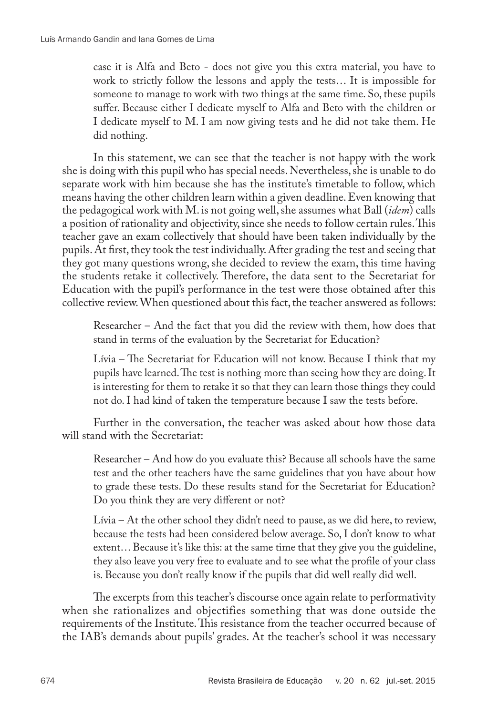case it is Alfa and Beto - does not give you this extra material, you have to work to strictly follow the lessons and apply the tests… It is impossible for someone to manage to work with two things at the same time. So, these pupils suffer. Because either I dedicate myself to Alfa and Beto with the children or I dedicate myself to M. I am now giving tests and he did not take them. He did nothing.

In this statement, we can see that the teacher is not happy with the work she is doing with this pupil who has special needs. Nevertheless, she is unable to do separate work with him because she has the institute's timetable to follow, which means having the other children learn within a given deadline. Even knowing that the pedagogical work with M. is not going well, she assumes what Ball (*idem*) calls a position of rationality and objectivity, since she needs to follow certain rules. This teacher gave an exam collectively that should have been taken individually by the pupils. At first, they took the test individually. After grading the test and seeing that they got many questions wrong, she decided to review the exam, this time having the students retake it collectively. Therefore, the data sent to the Secretariat for Education with the pupil's performance in the test were those obtained after this collective review. When questioned about this fact, the teacher answered as follows:

Researcher – And the fact that you did the review with them, how does that stand in terms of the evaluation by the Secretariat for Education?

Lívia – The Secretariat for Education will not know. Because I think that my pupils have learned. The test is nothing more than seeing how they are doing. It is interesting for them to retake it so that they can learn those things they could not do. I had kind of taken the temperature because I saw the tests before.

Further in the conversation, the teacher was asked about how those data will stand with the Secretariat:

Researcher – And how do you evaluate this? Because all schools have the same test and the other teachers have the same guidelines that you have about how to grade these tests. Do these results stand for the Secretariat for Education? Do you think they are very different or not?

Lívia – At the other school they didn't need to pause, as we did here, to review, because the tests had been considered below average. So, I don't know to what extent… Because it's like this: at the same time that they give you the guideline, they also leave you very free to evaluate and to see what the profile of your class is. Because you don't really know if the pupils that did well really did well.

The excerpts from this teacher's discourse once again relate to performativity when she rationalizes and objectifies something that was done outside the requirements of the Institute. This resistance from the teacher occurred because of the IAB's demands about pupils' grades. At the teacher's school it was necessary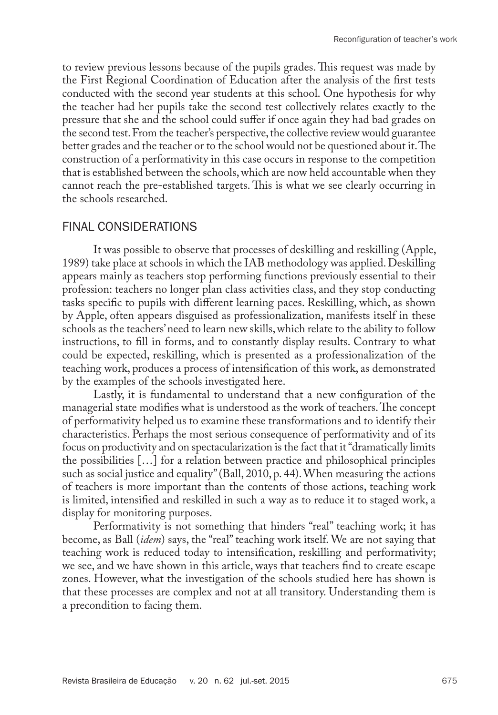to review previous lessons because of the pupils grades. This request was made by the First Regional Coordination of Education after the analysis of the first tests conducted with the second year students at this school. One hypothesis for why the teacher had her pupils take the second test collectively relates exactly to the pressure that she and the school could suffer if once again they had bad grades on the second test. From the teacher's perspective, the collective review would guarantee better grades and the teacher or to the school would not be questioned about it. The construction of a performativity in this case occurs in response to the competition that is established between the schools, which are now held accountable when they cannot reach the pre-established targets. This is what we see clearly occurring in the schools researched.

# FINAL CONSIDERATIONS

It was possible to observe that processes of deskilling and reskilling (Apple, 1989) take place at schools in which the IAB methodology was applied. Deskilling appears mainly as teachers stop performing functions previously essential to their profession: teachers no longer plan class activities class, and they stop conducting tasks specific to pupils with different learning paces. Reskilling, which, as shown by Apple, often appears disguised as professionalization, manifests itself in these schools as the teachers' need to learn new skills, which relate to the ability to follow instructions, to fill in forms, and to constantly display results. Contrary to what could be expected, reskilling, which is presented as a professionalization of the teaching work, produces a process of intensification of this work, as demonstrated by the examples of the schools investigated here.

Lastly, it is fundamental to understand that a new configuration of the managerial state modifies what is understood as the work of teachers. The concept of performativity helped us to examine these transformations and to identify their characteristics. Perhaps the most serious consequence of performativity and of its focus on productivity and on spectacularization is the fact that it "dramatically limits the possibilities […] for a relation between practice and philosophical principles such as social justice and equality" (Ball, 2010, p. 44). When measuring the actions of teachers is more important than the contents of those actions, teaching work is limited, intensified and reskilled in such a way as to reduce it to staged work, a display for monitoring purposes.

Performativity is not something that hinders "real" teaching work; it has become, as Ball (*idem*) says, the "real" teaching work itself. We are not saying that teaching work is reduced today to intensification, reskilling and performativity; we see, and we have shown in this article, ways that teachers find to create escape zones. However, what the investigation of the schools studied here has shown is that these processes are complex and not at all transitory. Understanding them is a precondition to facing them.